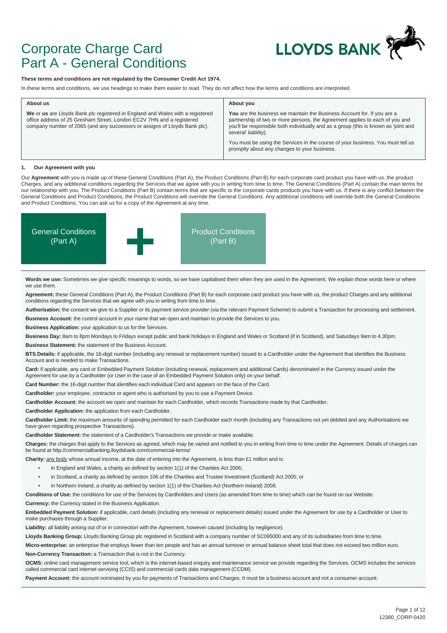

## Corporate Charge Card Part A - General Conditions

#### **These terms and conditions are not regulated by the Consumer Credit Act 1974.**

In these terms and conditions, we use headings to make them easier to read. They do not affect how the terms and conditions are interpreted.

| About us                                                                                                                                                                                                                              | About you                                                                                                                                                                                                                                                              |
|---------------------------------------------------------------------------------------------------------------------------------------------------------------------------------------------------------------------------------------|------------------------------------------------------------------------------------------------------------------------------------------------------------------------------------------------------------------------------------------------------------------------|
| We or us are Lloyds Bank plc registered in England and Wales with a registered<br>office address of 25 Gresham Street, London EC2V 7HN and a registered<br>company number of 2065 (and any successors or assigns of Lloyds Bank plc). | You are the business we maintain the Business Account for. If you are a<br>partnership of two or more persons, the Agreement applies to each of you and<br>you'll be responsible both individually and as a group (this is known as 'joint and<br>several' liability). |
|                                                                                                                                                                                                                                       | You must be using the Services in the course of your business. You must tell us<br>promptly about any changes to your business.                                                                                                                                        |

#### **1. Our Agreement with you**

Our **Agreement** with you is made up of these General Conditions (Part A), the Product Conditions (Part B) for each corporate card product you have with us, the product Charges, and any additional conditions regarding the Services that we agree with you in writing from time to time. The General Conditions (Part A) contain the main terms for our relationship with you. The Product Conditions (Part B) contain terms that are specific to the corporate cards products you have with us. If there is any conflict between the General Conditions and Product Conditions, the Product Conditions will override the General Conditions. Any additional conditions will override both the General Conditions and Product Conditions. You can ask us for a copy of the Agreement at any time.



Words we use: Sometimes we give specific meanings to words, so we have capitalised them when they are used in the Agreement. We explain those words here or where we use them.

**Agreement:** these General Conditions (Part A), the Product Conditions (Part B) for each corporate card product you have with us, the product Charges and any additional conditions regarding the Services that we agree with you in writing from time to time.

**Authorisation:** the consent we give to a Supplier or its payment service provider (via the relevant Payment Scheme) to submit a Transaction for processing and settlement.

**Business Account:** the control account in your name that we open and maintain to provide the Services to you.

**Business Application:** your application to us for the Services.

**Business Day:** 8am to 8pm Mondays to Fridays except public and bank holidays in England and Wales or Scotland (if in Scotland), and Saturdays 9am to 4.30pm.

**Business Statement:** the statement of the Business Account.

**BTS Details:** if applicable, the 16-digit number (including any renewal or replacement number) issued to a Cardholder under the Agreement that identifies the Business Account and is needed to make Transactions.

**Card:** if applicable, any card or Embedded Payment Solution (including renewal, replacement and additional Cards) denominated in the Currency issued under the Agreement for use by a Cardholder (or User in the case of an Embedded Payment Solution only) on your behalf.

**Card Number:** the 16-digit number that identifies each individual Card and appears on the face of the Card.

**Cardholder:** your employee, contractor or agent who is authorised by you to use a Payment Device.

**Cardholder Account:** the account we open and maintain for each Cardholder, which records Transactions made by that Cardholder.

**Cardholder Application:** the application from each Cardholder.

Cardholder Limit: the maximum amounts of spending permitted for each Cardholder each month (including any Transactions not yet debited and any Authorisations we have given regarding prospective Transactions).

**Cardholder Statement:** the statement of a Cardholder's Transactions we provide or make available.

**Charges:** the charges that apply to the Services as agreed, which may be varied and notified to you in writing from time to time under the Agreement. Details of charges can be found at http://commercialbanking.lloydsbank.com/commercial-terms/

**Charity:** any body whose annual income, at the date of entering into the Agreement, is less than £1 million and is:

- in England and Wales, a charity as defined by section 1(1) of the Charities Act 2006;
- in Scotland, a charity as defined by section 106 of the Charities and Trustee Investment (Scotland) Act 2005; or
- in Northern Ireland, a charity as defined by section 1(1) of the Charities Act (Northern Ireland) 2008.

**Conditions of Use:** the conditions for use of the Services by Cardholders and Users (as amended from time to time) which can be found on our Website.

**Currency:** the Currency stated in the Business Application.

**Embedded Payment Solution:** if applicable, card details (including any renewal or replacement details) issued under the Agreement for use by a Cardholder or User to make purchases through a Supplier.

**Liability:** all liability arising out of or in connection with the Agreement, however caused (including by negligence).

**Lloyds Banking Group:** Lloyds Banking Group plc registered in Scotland with a company number of SC095000 and any of its subsidiaries from time to time.

Micro-enterprise: an enterprise that employs fewer than ten people and has an annual turnover or annual balance sheet total that does not exceed two million euro. **Non-Currency Transaction:** a Transaction that is not in the Currency.

**OCMS:** online card management service tool, which is the internet-based enquiry and maintenance service we provide regarding the Services. OCMS includes the services called commercial card internet servicing (CCIS) and commercial cards data management (CCDM).

Payment Account: the account nominated by you for payments of Transactions and Charges. It must be a business account and not a consumer account.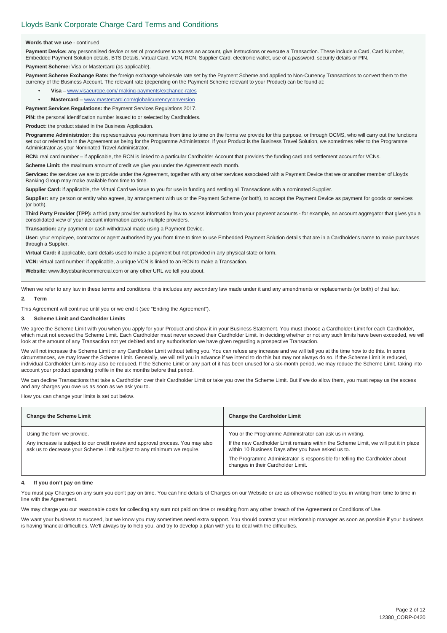#### **Words that we use** - continued

Payment Device: any personalised device or set of procedures to access an account, give instructions or execute a Transaction. These include a Card, Card Number, Embedded Payment Solution details, BTS Details, Virtual Card, VCN, RCN, Supplier Card, electronic wallet, use of a password, security details or PIN.

**Payment Scheme:** Visa or Mastercard (as applicable).

Payment Scheme Exchange Rate: the foreign exchange wholesale rate set by the Payment Scheme and applied to Non-Currency Transactions to convert them to the currency of the Business Account. The relevant rate (depending on the Payment Scheme relevant to your Product) can be found at:

- **Visa** www.visaeurope.com/ making-payments/exchange-rates
- **Mastercard** www.mastercard.com/global/currencyconversion

**Payment Services Regulations:** the Payment Services Regulations 2017.

**PIN:** the personal identification number issued to or selected by Cardholders.

**Product:** the product stated in the Business Application.

**Programme Administrator:** the representatives you nominate from time to time on the forms we provide for this purpose, or through OCMS, who will carry out the functions set out or referred to in the Agreement as being for the Programme Administrator. If your Product is the Business Travel Solution, we sometimes refer to the Programme Administrator as your Nominated Travel Administrator.

**RCN:** real card number – if applicable, the RCN is linked to a particular Cardholder Account that provides the funding card and settlement account for VCNs.

**Scheme Limit:** the maximum amount of credit we give you under the Agreement each month.

**Services:** the services we are to provide under the Agreement, together with any other services associated with a Payment Device that we or another member of Lloyds Banking Group may make available from time to time.

**Supplier Card:** if applicable, the Virtual Card we issue to you for use in funding and settling all Transactions with a nominated Supplier.

Supplier: any person or entity who agrees, by arrangement with us or the Payment Scheme (or both), to accept the Payment Device as payment for goods or services (or both).

Third Party Provider (TPP): a third party provider authorised by law to access information from your payment accounts - for example, an account aggregator that gives you a consolidated view of your account information across multiple providers.

**Transaction:** any payment or cash withdrawal made using a Payment Device.

**User:** your employee, contractor or agent authorised by you from time to time to use Embedded Payment Solution details that are in a Cardholder's name to make purchases through a Supplier.

**Virtual Card:** if applicable, card details used to make a payment but not provided in any physical state or form.

**VCN:** virtual card number: if applicable, a unique VCN is linked to an RCN to make a Transaction.

**Website:** www.lloydsbankcommercial.com or any other URL we tell you about.

When we refer to any law in these terms and conditions, this includes any secondary law made under it and any amendments or replacements (or both) of that law.

#### **2. Term**

This Agreement will continue until you or we end it (see "Ending the Agreement").

#### **3. Scheme Limit and Cardholder Limits**

We agree the Scheme Limit with you when you apply for your Product and show it in your Business Statement. You must choose a Cardholder Limit for each Cardholder, which must not exceed the Scheme Limit. Each Cardholder must never exceed their Cardholder Limit. In deciding whether or not any such limits have been exceeded, we will look at the amount of any Transaction not yet debited and any authorisation we have given regarding a prospective Transaction.

We will not increase the Scheme Limit or any Cardholder Limit without telling you. You can refuse any increase and we will tell you at the time how to do this. In some circumstances, we may lower the Scheme Limit. Generally, we will tell you in advance if we intend to do this but may not always do so. If the Scheme Limit is reduced, individual Cardholder Limits may also be reduced. If the Scheme Limit or any part of it has been unused for a six-month period, we may reduce the Scheme Limit, taking into account your product spending profile in the six months before that period.

We can decline Transactions that take a Cardholder over their Cardholder Limit or take you over the Scheme Limit. But if we do allow them, you must repay us the excess and any charges you owe us as soon as we ask you to.

How you can change your limits is set out below.

| <b>Change the Scheme Limit</b>                                                                                                                                                           | <b>Change the Cardholder Limit</b>                                                                                                                                                                                                                                                                                            |
|------------------------------------------------------------------------------------------------------------------------------------------------------------------------------------------|-------------------------------------------------------------------------------------------------------------------------------------------------------------------------------------------------------------------------------------------------------------------------------------------------------------------------------|
| Using the form we provide.<br>Any increase is subject to our credit review and approval process. You may also<br>ask us to decrease your Scheme Limit subject to any minimum we require. | You or the Programme Administrator can ask us in writing.<br>If the new Cardholder Limit remains within the Scheme Limit, we will put it in place<br>within 10 Business Days after you have asked us to.<br>The Programme Administrator is responsible for telling the Cardholder about<br>changes in their Cardholder Limit. |

#### **4. If you don't pay on time**

You must pay Charges on any sum you don't pay on time. You can find details of Charges on our Website or are as otherwise notified to you in writing from time to time in line with the Agreement.

We may charge you our reasonable costs for collecting any sum not paid on time or resulting from any other breach of the Agreement or Conditions of Use.

We want your business to succeed, but we know you may sometimes need extra support. You should contact your relationship manager as soon as possible if your business is having financial difficulties. We'll always try to help you, and try to develop a plan with you to deal with the difficulties.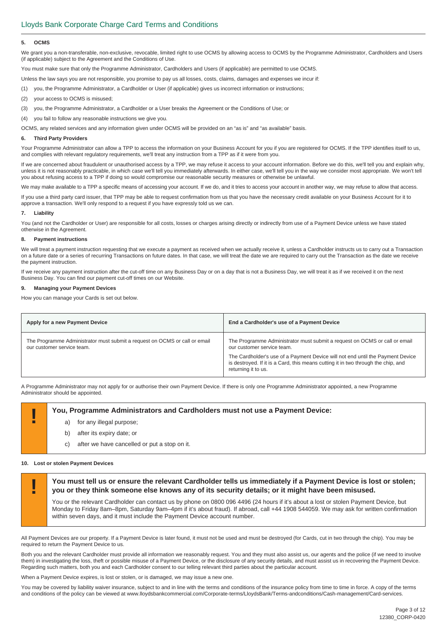#### **5. OCMS**

We grant you a non-transferable, non-exclusive, revocable, limited right to use OCMS by allowing access to OCMS by the Programme Administrator, Cardholders and Users (if applicable) subject to the Agreement and the Conditions of Use.

You must make sure that only the Programme Administrator, Cardholders and Users (if applicable) are permitted to use OCMS.

Unless the law says you are not responsible, you promise to pay us all losses, costs, claims, damages and expenses we incur if:

(1) you, the Programme Administrator, a Cardholder or User (if applicable) gives us incorrect information or instructions;

- (2) your access to OCMS is misused;
- (3) you, the Programme Administrator, a Cardholder or a User breaks the Agreement or the Conditions of Use; or

(4) you fail to follow any reasonable instructions we give you.

OCMS, any related services and any information given under OCMS will be provided on an "as is" and "as available" basis.

#### **6. Third Party Providers**

Your Programme Administrator can allow a TPP to access the information on your Business Account for you if you are registered for OCMS. If the TPP identifies itself to us, and complies with relevant regulatory requirements, we'll treat any instruction from a TPP as if it were from you.

If we are concerned about fraudulent or unauthorised access by a TPP, we may refuse it access to your account information. Before we do this, we'll tell you and explain why, unless it is not reasonably practicable, in which case we'll tell you immediately afterwards. In either case, we'll tell you in the way we consider most appropriate. We won't tell you about refusing access to a TPP if doing so would compromise our reasonable security measures or otherwise be unlawful.

We may make available to a TPP a specific means of accessing your account. If we do, and it tries to access your account in another way, we may refuse to allow that access.

If you use a third party card issuer, that TPP may be able to request confirmation from us that you have the necessary credit available on your Business Account for it to approve a transaction. We'll only respond to a request if you have expressly told us we can.

#### **7. Liability**

You (and not the Cardholder or User) are responsible for all costs, losses or charges arising directly or indirectly from use of a Payment Device unless we have stated otherwise in the Agreement.

#### **8. Payment instructions**

We will treat a payment instruction requesting that we execute a payment as received when we actually receive it, unless a Cardholder instructs us to carry out a Transaction on a future date or a series of recurring Transactions on future dates. In that case, we will treat the date we are required to carry out the Transaction as the date we receive the payment instruction.

If we receive any payment instruction after the cut-off time on any Business Day or on a day that is not a Business Day, we will treat it as if we received it on the next Business Day. You can find our payment cut-off times on our Website.

#### **9. Managing your Payment Devices**

How you can manage your Cards is set out below.

| Apply for a new Payment Device                                                                           | End a Cardholder's use of a Payment Device                                                                                                                                                                                                                                                             |
|----------------------------------------------------------------------------------------------------------|--------------------------------------------------------------------------------------------------------------------------------------------------------------------------------------------------------------------------------------------------------------------------------------------------------|
| The Programme Administrator must submit a request on OCMS or call or email<br>our customer service team. | The Programme Administrator must submit a request on OCMS or call or email<br>our customer service team.<br>The Cardholder's use of a Payment Device will not end until the Payment Device<br>is destroyed. If it is a Card, this means cutting it in two through the chip, and<br>returning it to us. |

A Programme Administrator may not apply for or authorise their own Payment Device. If there is only one Programme Administrator appointed, a new Programme Administrator should be appointed.

# **Part Programme Administrators and Cardholders must not use a Payment Device:**<br>a) for any illegal purpose:

- for any illegal purpose;
	- b) after its expiry date; or
- c) after we have cancelled or put a stop on it.

#### **10. Lost or stolen Payment Devices**

**! You must tell us or ensure the relevant Cardholder tells us immediately if a Payment Device is lost or stolen; you or they think someone else knows any of its security details; or it might have been misused.** 

You or the relevant Cardholder can contact us by phone on 0800 096 4496 (24 hours if it's about a lost or stolen Payment Device, but Monday to Friday 8am–8pm, Saturday 9am–4pm if it's about fraud). If abroad, call +44 1908 544059. We may ask for written confirmation within seven days, and it must include the Payment Device account number.

All Payment Devices are our property. If a Payment Device is later found, it must not be used and must be destroyed (for Cards, cut in two through the chip). You may be required to return the Payment Device to us.

Both you and the relevant Cardholder must provide all information we reasonably request. You and they must also assist us, our agents and the police (if we need to involve them) in investigating the loss, theft or possible misuse of a Payment Device, or the disclosure of any security details, and must assist us in recovering the Payment Device. Regarding such matters, both you and each Cardholder consent to our telling relevant third parties about the particular account.

When a Payment Device expires, is lost or stolen, or is damaged, we may issue a new one.

You may be covered by liability waiver insurance, subject to and in line with the terms and conditions of the insurance policy from time to time in force. A copy of the terms and conditions of the policy can be viewed at www.lloydsbankcommercial.com/Corporate-terms/LloydsBank/Terms-andconditions/Cash-management/Card-services.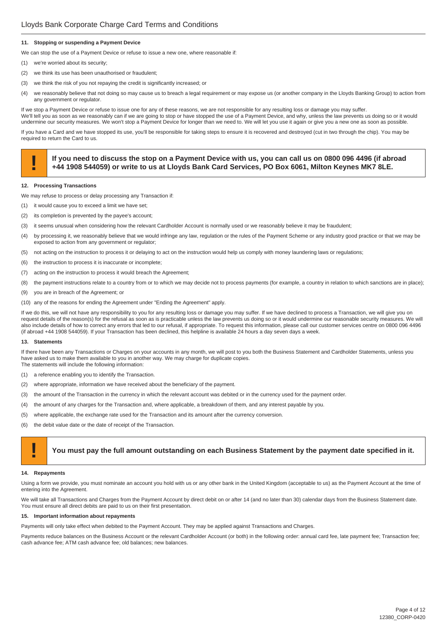#### **11. Stopping or suspending a Payment Device**

We can stop the use of a Payment Device or refuse to issue a new one, where reasonable if:

- (1) we're worried about its security;
- (2) we think its use has been unauthorised or fraudulent;
- (3) we think the risk of you not repaying the credit is significantly increased; or
- (4) we reasonably believe that not doing so may cause us to breach a legal requirement or may expose us (or another company in the Lloyds Banking Group) to action from any government or regulator.

If we stop a Payment Device or refuse to issue one for any of these reasons, we are not responsible for any resulting loss or damage you may suffer. We'll tell you as soon as we reasonably can if we are going to stop or have stopped the use of a Payment Device, and why, unless the law prevents us doing so or it would undermine our security measures. We won't stop a Payment Device for longer than we need to. We will let you use it again or give you a new one as soon as possible.

If you have a Card and we have stopped its use, you'll be responsible for taking steps to ensure it is recovered and destroyed (cut in two through the chip). You may be required to return the Card to us.

# If you need to discuss the stop on a Payment Device with us, you can call us on 0800 096 4496 (if abroad +44 1908 544059) or write to us at Lloyds Bank Card Services, PO Box 6061, Milton Keynes MK7 8LE.

#### **12. Processing Transactions**

- We may refuse to process or delay processing any Transaction if:
- (1) it would cause you to exceed a limit we have set;
- (2) its completion is prevented by the payee's account;
- (3) it seems unusual when considering how the relevant Cardholder Account is normally used or we reasonably believe it may be fraudulent;
- (4) by processing it, we reasonably believe that we would infringe any law, regulation or the rules of the Payment Scheme or any industry good practice or that we may be exposed to action from any government or regulator;
- (5) not acting on the instruction to process it or delaying to act on the instruction would help us comply with money laundering laws or regulations;
- (6) the instruction to process it is inaccurate or incomplete;
- (7) acting on the instruction to process it would breach the Agreement;
- (8) the payment instructions relate to a country from or to which we may decide not to process payments (for example, a country in relation to which sanctions are in place);
- (9) you are in breach of the Agreement; or
- (10) any of the reasons for ending the Agreement under "Ending the Agreement" apply.

If we do this, we will not have any responsibility to you for any resulting loss or damage you may suffer. If we have declined to process a Transaction, we will give you on request details of the reason(s) for the refusal as soon as is practicable unless the law prevents us doing so or it would undermine our reasonable security measures. We will also include details of how to correct any errors that led to our refusal, if appropriate. To request this information, please call our customer services centre on 0800 096 4496 (if abroad +44 1908 544059). If your Transaction has been declined, this helpline is available 24 hours a day seven days a week.

#### **13. Statements**

If there have been any Transactions or Charges on your accounts in any month, we will post to you both the Business Statement and Cardholder Statements, unless you have asked us to make them available to you in another way. We may charge for duplicate copies. The statements will include the following information:

- (1) a reference enabling you to identify the Transaction.
- (2) where appropriate, information we have received about the beneficiary of the payment.
- (3) the amount of the Transaction in the currency in which the relevant account was debited or in the currency used for the payment order.
- (4) the amount of any charges for the Transaction and, where applicable, a breakdown of them, and any interest payable by you.
- (5) where applicable, the exchange rate used for the Transaction and its amount after the currency conversion.
- (6) the debit value date or the date of receipt of the Transaction.

#### **! You must pay the full amount outstanding on each Business Statement by the payment date specified in it.**

#### **14. Repayments**

Using a form we provide, you must nominate an account you hold with us or any other bank in the United Kingdom (acceptable to us) as the Payment Account at the time of entering into the Agreement.

We will take all Transactions and Charges from the Payment Account by direct debit on or after 14 (and no later than 30) calendar days from the Business Statement date. You must ensure all direct debits are paid to us on their first presentation.

#### **15. Important information about repayments**

Payments will only take effect when debited to the Payment Account. They may be applied against Transactions and Charges.

Payments reduce balances on the Business Account or the relevant Cardholder Account (or both) in the following order: annual card fee, late payment fee; Transaction fee; cash advance fee; ATM cash advance fee; old balances; new balances.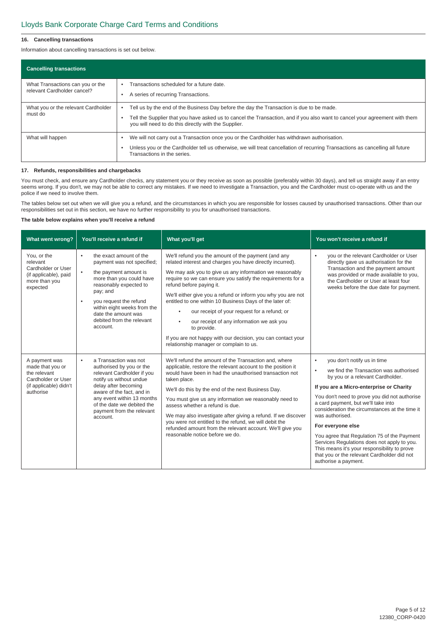#### **16. Cancelling transactions**

Information about cancelling transactions is set out below.

| <b>Cancelling transactions</b>                                  |                                                                                                                                                                                                                                                                                 |
|-----------------------------------------------------------------|---------------------------------------------------------------------------------------------------------------------------------------------------------------------------------------------------------------------------------------------------------------------------------|
| What Transactions can you or the<br>relevant Cardholder cancel? | Transactions scheduled for a future date.<br>A series of recurring Transactions.                                                                                                                                                                                                |
| What you or the relevant Cardholder<br>must do                  | Tell us by the end of the Business Day before the day the Transaction is due to be made.<br>Tell the Supplier that you have asked us to cancel the Transaction, and if you also want to cancel your agreement with them<br>you will need to do this directly with the Supplier. |
| What will happen                                                | We will not carry out a Transaction once you or the Cardholder has withdrawn authorisation.<br>Unless you or the Cardholder tell us otherwise, we will treat cancellation of recurring Transactions as cancelling all future<br>Transactions in the series.                     |

#### **17. Refunds, responsibilities and chargebacks**

You must check, and ensure any Cardholder checks, any statement you or they receive as soon as possible (preferably within 30 days), and tell us straight away if an entry seems wrong. If you don't, we may not be able to correct any mistakes. If we need to investigate a Transaction, you and the Cardholder must co-operate with us and the police if we need to involve them.

The tables below set out when we will give you a refund, and the circumstances in which you are responsible for losses caused by unauthorised transactions. Other than our responsibilities set out in this section, we have no further responsibility to you for unauthorised transactions.

#### **The table below explains when you'll receive a refund**

| What went wrong?                                                                                               | You'll receive a refund if                                                                                                                                                                                                                                                                               | What you'll get                                                                                                                                                                                                                                                                                                                                                                                                                                                                                                                                                                                                                                     | You won't receive a refund if                                                                                                                                                                                                                                                                                                                                                                                                                                                                                                                                                  |
|----------------------------------------------------------------------------------------------------------------|----------------------------------------------------------------------------------------------------------------------------------------------------------------------------------------------------------------------------------------------------------------------------------------------------------|-----------------------------------------------------------------------------------------------------------------------------------------------------------------------------------------------------------------------------------------------------------------------------------------------------------------------------------------------------------------------------------------------------------------------------------------------------------------------------------------------------------------------------------------------------------------------------------------------------------------------------------------------------|--------------------------------------------------------------------------------------------------------------------------------------------------------------------------------------------------------------------------------------------------------------------------------------------------------------------------------------------------------------------------------------------------------------------------------------------------------------------------------------------------------------------------------------------------------------------------------|
| You, or the<br>relevant<br>Cardholder or User<br>(if applicable), paid<br>more than you<br>expected            | the exact amount of the<br>$\bullet$<br>payment was not specified;<br>$\bullet$<br>the payment amount is<br>more than you could have<br>reasonably expected to<br>pay; and<br>you request the refund<br>٠<br>within eight weeks from the<br>date the amount was<br>debited from the relevant<br>account. | We'll refund you the amount of the payment (and any<br>related interest and charges you have directly incurred).<br>We may ask you to give us any information we reasonably<br>require so we can ensure you satisfy the requirements for a<br>refund before paying it.<br>We'll either give you a refund or inform you why you are not<br>entitled to one within 10 Business Days of the later of:<br>our receipt of your request for a refund; or<br>$\bullet$<br>our receipt of any information we ask you<br>$\bullet$<br>to provide.<br>If you are not happy with our decision, you can contact your<br>relationship manager or complain to us. | you or the relevant Cardholder or User<br>$\bullet$<br>directly gave us authorisation for the<br>Transaction and the payment amount<br>was provided or made available to you,<br>the Cardholder or User at least four<br>weeks before the due date for payment.                                                                                                                                                                                                                                                                                                                |
| A payment was<br>made that you or<br>the relevant<br>Cardholder or User<br>(if applicable) didn't<br>authorise | a Transaction was not<br>$\bullet$<br>authorised by you or the<br>relevant Cardholder if you<br>notify us without undue<br>delay after becoming<br>aware of the fact, and in<br>any event within 13 months<br>of the date we debited the<br>payment from the relevant<br>account.                        | We'll refund the amount of the Transaction and, where<br>applicable, restore the relevant account to the position it<br>would have been in had the unauthorised transaction not<br>taken place.<br>We'll do this by the end of the next Business Day.<br>You must give us any information we reasonably need to<br>assess whether a refund is due.<br>We may also investigate after giving a refund. If we discover<br>you were not entitled to the refund, we will debit the<br>refunded amount from the relevant account. We'll give you<br>reasonable notice before we do.                                                                       | you don't notify us in time<br>$\bullet$<br>we find the Transaction was authorised<br>٠<br>by you or a relevant Cardholder.<br>If you are a Micro-enterprise or Charity<br>You don't need to prove you did not authorise<br>a card payment, but we'll take into<br>consideration the circumstances at the time it<br>was authorised.<br>For everyone else<br>You agree that Regulation 75 of the Payment<br>Services Regulations does not apply to you.<br>This means it's your responsibility to prove<br>that you or the relevant Cardholder did not<br>authorise a payment. |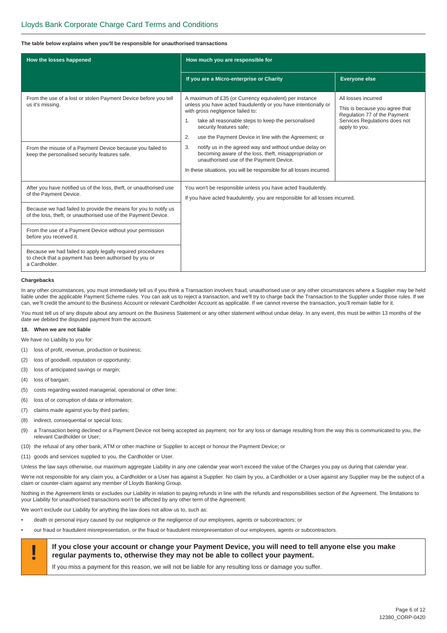#### **The table below explains when you'll be responsible for unauthorised transactions**

| How the losses happened                                                                                                              | How much you are responsible for                                                                                                                                                                                                                                                                                    |                                                                                                                                         |
|--------------------------------------------------------------------------------------------------------------------------------------|---------------------------------------------------------------------------------------------------------------------------------------------------------------------------------------------------------------------------------------------------------------------------------------------------------------------|-----------------------------------------------------------------------------------------------------------------------------------------|
|                                                                                                                                      | If you are a Micro-enterprise or Charity                                                                                                                                                                                                                                                                            | <b>Everyone else</b>                                                                                                                    |
| From the use of a lost or stolen Payment Device before you tell<br>us it's missing.                                                  | A maximum of £35 (or Currency equivalent) per instance<br>unless you have acted fraudulently or you have intentionally or<br>with gross negligence failed to:<br>take all reasonable steps to keep the personalised<br>1.<br>security features safe;<br>use the Payment Device in line with the Agreement; or<br>2. | All losses incurred<br>This is because you agree that<br>Regulation 77 of the Payment<br>Services Regulations does not<br>apply to you. |
| From the misuse of a Payment Device because you failed to<br>keep the personalised security features safe.                           | notify us in the agreed way and without undue delay on<br>3.<br>becoming aware of the loss, theft, misappropriation or<br>unauthorised use of the Payment Device.<br>In these situations, you will be responsible for all losses incurred.                                                                          |                                                                                                                                         |
| After you have notified us of the loss, theft, or unauthorised use<br>of the Payment Device.                                         | You won't be responsible unless you have acted fraudulently.<br>If you have acted fraudulently, you are responsible for all losses incurred.                                                                                                                                                                        |                                                                                                                                         |
| Because we had failed to provide the means for you to notify us<br>of the loss, theft, or unauthorised use of the Payment Device.    |                                                                                                                                                                                                                                                                                                                     |                                                                                                                                         |
| From the use of a Payment Device without your permission<br>before you received it.                                                  |                                                                                                                                                                                                                                                                                                                     |                                                                                                                                         |
| Because we had failed to apply legally required procedures<br>to check that a payment has been authorised by you or<br>a Cardholder. |                                                                                                                                                                                                                                                                                                                     |                                                                                                                                         |

#### **Chargebacks**

In any other circumstances, you must immediately tell us if you think a Transaction involves fraud, unauthorised use or any other circumstances where a Supplier may be held liable under the applicable Payment Scheme rules. You can ask us to reject a transaction, and we'll try to charge back the Transaction to the Supplier under those rules. If we can, we'll credit the amount to the Business Account or relevant Cardholder Account as applicable. If we cannot reverse the transaction, you'll remain liable for it.

You must tell us of any dispute about any amount on the Business Statement or any other statement without undue delay. In any event, this must be within 13 months of the date we debited the disputed payment from the account.

#### **18. When we are not liable**

We have no Liability to you for:

- (1) loss of profit, revenue, production or business;
- (2) loss of goodwill, reputation or opportunity;
- (3) loss of anticipated savings or margin;
- (4) loss of bargain;
- (5) costs regarding wasted managerial, operational or other time;
- (6) loss of or corruption of data or information;
- (7) claims made against you by third parties;
- (8) indirect, consequential or special loss;
- (9) a Transaction being declined or a Payment Device not being accepted as payment, nor for any loss or damage resulting from the way this is communicated to you, the relevant Cardholder or User;
- (10) the refusal of any other bank, ATM or other machine or Supplier to accept or honour the Payment Device; or
- (11) goods and services supplied to you, the Cardholder or User.

Unless the law says otherwise, our maximum aggregate Liability in any one calendar year won't exceed the value of the Charges you pay us during that calendar year.

We're not responsible for any claim you, a Cardholder or a User has against a Supplier. No claim by you, a Cardholder or a User against any Supplier may be the subject of a claim or counter-claim against any member of Lloyds Banking Group.

Nothing in the Agreement limits or excludes our Liability in relation to paying refunds in line with the refunds and responsibilities section of the Agreement. The limitations to your Liability for unauthorised transactions won't be affected by any other term of the Agreement.

We won't exclude our Liability for anything the law does not allow us to, such as:

- death or personal injury caused by our negligence or the negligence of our employees, agents or subcontractors; or
- our fraud or fraudulent misrepresentation, or the fraud or fraudulent misrepresentation of our employees, agents or subcontractors.



If you miss a payment for this reason, we will not be liable for any resulting loss or damage you suffer.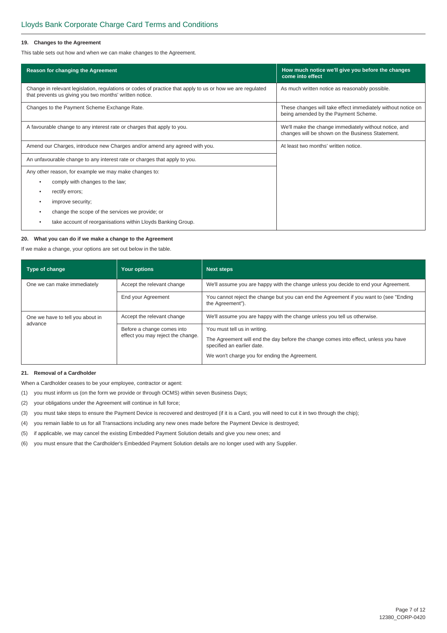#### **19. Changes to the Agreement**

This table sets out how and when we can make changes to the Agreement.

| Reason for changing the Agreement                                                                                                                                    | How much notice we'll give you before the changes<br>come into effect                                     |  |
|----------------------------------------------------------------------------------------------------------------------------------------------------------------------|-----------------------------------------------------------------------------------------------------------|--|
| Change in relevant legislation, regulations or codes of practice that apply to us or how we are regulated<br>that prevents us giving you two months' written notice. | As much written notice as reasonably possible.                                                            |  |
| Changes to the Payment Scheme Exchange Rate.                                                                                                                         | These changes will take effect immediately without notice on<br>being amended by the Payment Scheme.      |  |
| A favourable change to any interest rate or charges that apply to you.                                                                                               | We'll make the change immediately without notice, and<br>changes will be shown on the Business Statement. |  |
| Amend our Charges, introduce new Charges and/or amend any agreed with you.                                                                                           | At least two months' written notice.                                                                      |  |
| An unfavourable change to any interest rate or charges that apply to you.                                                                                            |                                                                                                           |  |
| Any other reason, for example we may make changes to:                                                                                                                |                                                                                                           |  |
| comply with changes to the law;<br>٠                                                                                                                                 |                                                                                                           |  |
| rectify errors;<br>٠                                                                                                                                                 |                                                                                                           |  |
| improve security;<br>٠                                                                                                                                               |                                                                                                           |  |
| change the scope of the services we provide; or                                                                                                                      |                                                                                                           |  |
| take account of reorganisations within Lloyds Banking Group.                                                                                                         |                                                                                                           |  |

#### **20. What you can do if we make a change to the Agreement**

If we make a change, your options are set out below in the table.

| Type of change                   | <b>Your options</b>                                             | <b>Next steps</b>                                                                                                                                                                                  |  |
|----------------------------------|-----------------------------------------------------------------|----------------------------------------------------------------------------------------------------------------------------------------------------------------------------------------------------|--|
| One we can make immediately      | Accept the relevant change                                      | We'll assume you are happy with the change unless you decide to end your Agreement.                                                                                                                |  |
|                                  | End your Agreement                                              | You cannot reject the change but you can end the Agreement if you want to (see "Ending")<br>the Agreement").                                                                                       |  |
| One we have to tell you about in | Accept the relevant change                                      | We'll assume you are happy with the change unless you tell us otherwise.                                                                                                                           |  |
| advance                          | Before a change comes into<br>effect you may reject the change. | You must tell us in writing.<br>The Agreement will end the day before the change comes into effect, unless you have<br>specified an earlier date.<br>We won't charge you for ending the Agreement. |  |

#### **21. Removal of a Cardholder**

When a Cardholder ceases to be your employee, contractor or agent:

- (1) you must inform us (on the form we provide or through OCMS) within seven Business Days;
- (2) your obligations under the Agreement will continue in full force;
- (3) you must take steps to ensure the Payment Device is recovered and destroyed (if it is a Card, you will need to cut it in two through the chip);
- (4) you remain liable to us for all Transactions including any new ones made before the Payment Device is destroyed;
- (5) if applicable, we may cancel the existing Embedded Payment Solution details and give you new ones; and
- (6) you must ensure that the Cardholder's Embedded Payment Solution details are no longer used with any Supplier.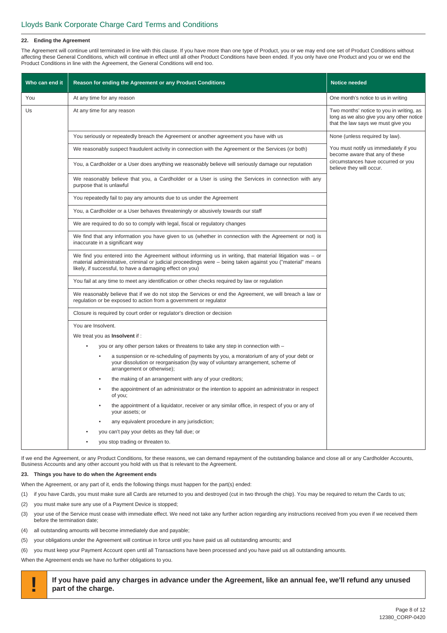#### **22. Ending the Agreement**

The Agreement will continue until terminated in line with this clause. If you have more than one type of Product, you or we may end one set of Product Conditions without affecting these General Conditions, which will continue in effect until all other Product Conditions have been ended. If you only have one Product and you or we end the Product Conditions in line with the Agreement, the General Conditions will end too.

| Who can end it | Reason for ending the Agreement or any Product Conditions                                                                                                                                                                                                                             | <b>Notice needed</b>                                                                                                        |
|----------------|---------------------------------------------------------------------------------------------------------------------------------------------------------------------------------------------------------------------------------------------------------------------------------------|-----------------------------------------------------------------------------------------------------------------------------|
| You            | At any time for any reason                                                                                                                                                                                                                                                            | One month's notice to us in writing                                                                                         |
| Us             | At any time for any reason                                                                                                                                                                                                                                                            | Two months' notice to you in writing, as<br>long as we also give you any other notice<br>that the law says we must give you |
|                | You seriously or repeatedly breach the Agreement or another agreement you have with us                                                                                                                                                                                                | None (unless required by law).                                                                                              |
|                | We reasonably suspect fraudulent activity in connection with the Agreement or the Services (or both)                                                                                                                                                                                  | You must notify us immediately if you<br>become aware that any of these                                                     |
|                | You, a Cardholder or a User does anything we reasonably believe will seriously damage our reputation                                                                                                                                                                                  | circumstances have occurred or you<br>believe they will occur.                                                              |
|                | We reasonably believe that you, a Cardholder or a User is using the Services in connection with any<br>purpose that is unlawful                                                                                                                                                       |                                                                                                                             |
|                | You repeatedly fail to pay any amounts due to us under the Agreement                                                                                                                                                                                                                  |                                                                                                                             |
|                | You, a Cardholder or a User behaves threateningly or abusively towards our staff                                                                                                                                                                                                      |                                                                                                                             |
|                | We are required to do so to comply with legal, fiscal or regulatory changes                                                                                                                                                                                                           |                                                                                                                             |
|                | We find that any information you have given to us (whether in connection with the Agreement or not) is<br>inaccurate in a significant way                                                                                                                                             |                                                                                                                             |
|                | We find you entered into the Agreement without informing us in writing, that material litigation was $-$ or<br>material administrative, criminal or judicial proceedings were – being taken against you ("material" means<br>likely, if successful, to have a damaging effect on you) |                                                                                                                             |
|                | You fail at any time to meet any identification or other checks required by law or regulation                                                                                                                                                                                         |                                                                                                                             |
|                | We reasonably believe that if we do not stop the Services or end the Agreement, we will breach a law or<br>regulation or be exposed to action from a government or regulator                                                                                                          |                                                                                                                             |
|                | Closure is required by court order or regulator's direction or decision                                                                                                                                                                                                               |                                                                                                                             |
|                | You are Insolvent.                                                                                                                                                                                                                                                                    |                                                                                                                             |
|                | We treat you as <b>Insolvent</b> if :                                                                                                                                                                                                                                                 |                                                                                                                             |
|                | you or any other person takes or threatens to take any step in connection with -                                                                                                                                                                                                      |                                                                                                                             |
|                | a suspension or re-scheduling of payments by you, a moratorium of any of your debt or<br>your dissolution or reorganisation (by way of voluntary arrangement, scheme of<br>arrangement or otherwise);                                                                                 |                                                                                                                             |
|                | the making of an arrangement with any of your creditors;                                                                                                                                                                                                                              |                                                                                                                             |
|                | the appointment of an administrator or the intention to appoint an administrator in respect<br>of you;                                                                                                                                                                                |                                                                                                                             |
|                | the appointment of a liquidator, receiver or any similar office, in respect of you or any of<br>your assets; or                                                                                                                                                                       |                                                                                                                             |
|                | any equivalent procedure in any jurisdiction;                                                                                                                                                                                                                                         |                                                                                                                             |
|                | you can't pay your debts as they fall due; or                                                                                                                                                                                                                                         |                                                                                                                             |
|                | you stop trading or threaten to.                                                                                                                                                                                                                                                      |                                                                                                                             |

If we end the Agreement, or any Product Conditions, for these reasons, we can demand repayment of the outstanding balance and close all or any Cardholder Accounts, Business Accounts and any other account you hold with us that is relevant to the Agreement.

#### **23. Things you have to do when the Agreement ends**

When the Agreement, or any part of it, ends the following things must happen for the part(s) ended:

- (1) if you have Cards, you must make sure all Cards are returned to you and destroyed (cut in two through the chip). You may be required to return the Cards to us;
- (2) you must make sure any use of a Payment Device is stopped;
- (3) your use of the Service must cease with immediate effect. We need not take any further action regarding any instructions received from you even if we received them before the termination date;
- (4) all outstanding amounts will become immediately due and payable;
- (5) your obligations under the Agreement will continue in force until you have paid us all outstanding amounts; and
- (6) you must keep your Payment Account open until all Transactions have been processed and you have paid us all outstanding amounts.

When the Agreement ends we have no further obligations to you.

**! If you have paid any charges in advance under the Agreement, like an annual fee, we'll refund any unused part of the charge.**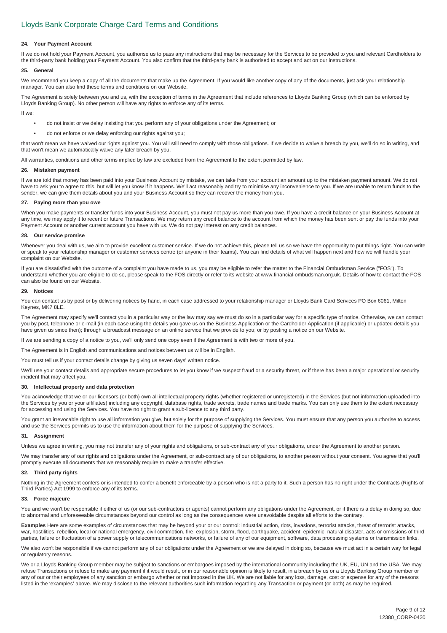#### **24. Your Payment Account**

If we do not hold your Payment Account, you authorise us to pass any instructions that may be necessary for the Services to be provided to you and relevant Cardholders to the third-party bank holding your Payment Account. You also confirm that the third-party bank is authorised to accept and act on our instructions.

#### **25. General**

We recommend you keep a copy of all the documents that make up the Agreement. If you would like another copy of any of the documents, just ask your relationship manager. You can also find these terms and conditions on our Website.

The Agreement is solely between you and us, with the exception of terms in the Agreement that include references to Lloyds Banking Group (which can be enforced by Lloyds Banking Group). No other person will have any rights to enforce any of its terms.

If we:

- do not insist or we delay insisting that you perform any of your obligations under the Agreement; or
- do not enforce or we delay enforcing our rights against you;

that won't mean we have waived our rights against you. You will still need to comply with those obligations. If we decide to waive a breach by you, we'll do so in writing, and that won't mean we automatically waive any later breach by you.

All warranties, conditions and other terms implied by law are excluded from the Agreement to the extent permitted by law.

#### **26. Mistaken payment**

If we are told that money has been paid into your Business Account by mistake, we can take from your account an amount up to the mistaken payment amount. We do not have to ask you to agree to this, but will let you know if it happens. We'll act reasonably and try to minimise any inconvenience to you. If we are unable to return funds to the sender, we can give them details about you and your Business Account so they can recover the money from you.

#### **27. Paying more than you owe**

When you make payments or transfer funds into your Business Account, you must not pay us more than you owe. If you have a credit balance on your Business Account at any time, we may apply it to recent or future Transactions. We may return any credit balance to the account from which the money has been sent or pay the funds into your Payment Account or another current account you have with us. We do not pay interest on any credit balances.

#### **28. Our service promise**

Whenever you deal with us, we aim to provide excellent customer service. If we do not achieve this, please tell us so we have the opportunity to put things right. You can write or speak to your relationship manager or customer services centre (or anyone in their teams). You can find details of what will happen next and how we will handle your complaint on our Website.

If you are dissatisfied with the outcome of a complaint you have made to us, you may be eligible to refer the matter to the Financial Ombudsman Service ("FOS"). To understand whether you are eligible to do so, please speak to the FOS directly or refer to its website at www.financial-ombudsman.org.uk. Details of how to contact the FOS can also be found on our Website.

#### **29. Notices**

You can contact us by post or by delivering notices by hand, in each case addressed to your relationship manager or Lloyds Bank Card Services PO Box 6061, Milton Keynes, MK7 8LE.

The Agreement may specify we'll contact you in a particular way or the law may say we must do so in a particular way for a specific type of notice. Otherwise, we can contact you by post, telephone or e-mail (in each case using the details you gave us on the Business Application or the Cardholder Application (if applicable) or updated details you have given us since then); through a broadcast message on an online service that we provide to you; or by posting a notice on our Website.

If we are sending a copy of a notice to you, we'll only send one copy even if the Agreement is with two or more of you.

The Agreement is in English and communications and notices between us will be in English.

You must tell us if your contact details change by giving us seven days' written notice.

We'll use your contact details and appropriate secure procedures to let you know if we suspect fraud or a security threat, or if there has been a major operational or security incident that may affect you.

#### **30. Intellectual property and data protection**

You acknowledge that we or our licensors (or both) own all intellectual property rights (whether registered or unregistered) in the Services (but not information uploaded into the Services by you or your affiliates) including any copyright, database rights, trade secrets, trade names and trade marks. You can only use them to the extent necessary for accessing and using the Services. You have no right to grant a sub-licence to any third party.

You grant an irrevocable right to use all information you give, but solely for the purpose of supplying the Services. You must ensure that any person you authorise to access and use the Services permits us to use the information about them for the purpose of supplying the Services.

#### **31. Assignment**

Unless we agree in writing, you may not transfer any of your rights and obligations, or sub-contract any of your obligations, under the Agreement to another person.

We may transfer any of our rights and obligations under the Agreement, or sub-contract any of our obligations, to another person without your consent. You agree that you'll promptly execute all documents that we reasonably require to make a transfer effective.

#### **32. Third party rights**

Nothing in the Agreement confers or is intended to confer a benefit enforceable by a person who is not a party to it. Such a person has no right under the Contracts (Rights of Third Parties) Act 1999 to enforce any of its terms.

#### **33. Force majeure**

You and we won't be responsible if either of us (or our sub-contractors or agents) cannot perform any obligations under the Agreement, or if there is a delay in doing so, due to abnormal and unforeseeable circumstances beyond our control as long as the consequences were unavoidable despite all efforts to the contrary.

**Examples** Here are some examples of circumstances that may be beyond your or our control: industrial action, riots, invasions, terrorist attacks, threat of terrorist attacks, war, hostilities, rebellion, local or national emergency, civil commotion, fire, explosion, storm, flood, earthquake, accident, epidemic, natural disaster, acts or omissions of third parties, failure or fluctuation of a power supply or telecommunications networks, or failure of any of our equipment, software, data processing systems or transmission links.

We also won't be responsible if we cannot perform any of our obligations under the Agreement or we are delayed in doing so, because we must act in a certain way for legal or regulatory reasons.

We or a Lloyds Banking Group member may be subject to sanctions or embargoes imposed by the international community including the UK, EU, UN and the USA. We may refuse Transactions or refuse to make any payment if it would result, or in our reasonable opinion is likely to result, in a breach by us or a Lloyds Banking Group member or any of our or their employees of any sanction or embargo whether or not imposed in the UK. We are not liable for any loss, damage, cost or expense for any of the reasons listed in the 'examples' above. We may disclose to the relevant authorities such information regarding any Transaction or payment (or both) as may be required.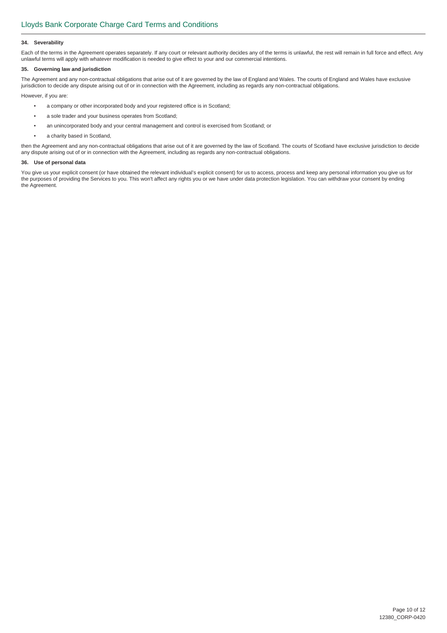#### **34. Severability**

Each of the terms in the Agreement operates separately. If any court or relevant authority decides any of the terms is unlawful, the rest will remain in full force and effect. Any unlawful terms will apply with whatever modification is needed to give effect to your and our commercial intentions.

#### **35. Governing law and jurisdiction**

The Agreement and any non-contractual obligations that arise out of it are governed by the law of England and Wales. The courts of England and Wales have exclusive jurisdiction to decide any dispute arising out of or in connection with the Agreement, including as regards any non-contractual obligations.

However, if you are:

- a company or other incorporated body and your registered office is in Scotland;
- a sole trader and your business operates from Scotland;
- an unincorporated body and your central management and control is exercised from Scotland; or
- a charity based in Scotland,

then the Agreement and any non-contractual obligations that arise out of it are governed by the law of Scotland. The courts of Scotland have exclusive jurisdiction to decide any dispute arising out of or in connection with the Agreement, including as regards any non-contractual obligations.

#### **36. Use of personal data**

You give us your explicit consent (or have obtained the relevant individual's explicit consent) for us to access, process and keep any personal information you give us for the purposes of providing the Services to you. This won't affect any rights you or we have under data protection legislation. You can withdraw your consent by ending the Agreement.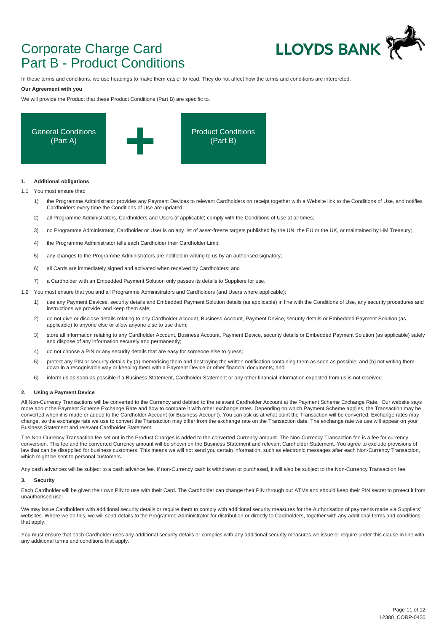## Corporate Charge Card Part B - Product Conditions



In these terms and conditions, we use headings to make them easier to read. They do not affect how the terms and conditions are interpreted.

#### **Our Agreement with you**

We will provide the Product that these Product Conditions (Part B) are specific to.



#### **1. Additional obligations**

1.1 You must ensure that:

- 1) the Programme Administrator provides any Payment Devices to relevant Cardholders on receipt together with a Website link to the Conditions of Use, and notifies Cardholders every time the Conditions of Use are updated;
- 2) all Programme Administrators, Cardholders and Users (if applicable) comply with the Conditions of Use at all times;
- 3) no Programme Administrator, Cardholder or User is on any list of asset-freeze targets published by the UN, the EU or the UK, or maintained by HM Treasury;
- 4) the Programme Administrator tells each Cardholder their Cardholder Limit;
- 5) any changes to the Programme Administrators are notified in writing to us by an authorised signatory;
- 6) all Cards are immediately signed and activated when received by Cardholders; and
- 7) a Cardholder with an Embedded Payment Solution only passes its details to Suppliers for use.
- 1.2 You must ensure that you and all Programme Administrators and Cardholders (and Users where applicable):
	- 1) use any Payment Devices, security details and Embedded Payment Solution details (as applicable) in line with the Conditions of Use, any security procedures and instructions we provide, and keep them safe;
	- 2) do not give or disclose details relating to any Cardholder Account, Business Account, Payment Device, security details or Embedded Payment Solution (as applicable) to anyone else or allow anyone else to use them;
	- 3) store all information relating to any Cardholder Account, Business Account, Payment Device, security details or Embedded Payment Solution (as applicable) safely and dispose of any information securely and permanently;
	- 4) do not choose a PIN or any security details that are easy for someone else to guess;
	- 5) protect any PIN or security details by (a) memorising them and destroying the written notification containing them as soon as possible; and (b) not writing them down in a recognisable way or keeping them with a Payment Device or other financial documents; and
	- 6) inform us as soon as possible if a Business Statement, Cardholder Statement or any other financial information expected from us is not received.

#### **2. Using a Payment Device**

All Non-Currency Transactions will be converted to the Currency and debited to the relevant Cardholder Account at the Payment Scheme Exchange Rate. Our website says more about the Payment Scheme Exchange Rate and how to compare it with other exchange rates. Depending on which Payment Scheme applies, the Transaction may be converted when it is made or added to the Cardholder Account (or Business Account). You can ask us at what point the Transaction will be converted. Exchange rates may change, so the exchange rate we use to convert the Transaction may differ from the exchange rate on the Transaction date. The exchange rate we use will appear on your Business Statement and relevant Cardholder Statement.

The Non-Currency Transaction fee set out in the Product Charges is added to the converted Currency amount. The Non-Currency Transaction fee is a fee for currency conversion. This fee and the converted Currency amount will be shown on the Business Statement and relevant Cardholder Statement. You agree to exclude provisions of law that can be disapplied for business customers. This means we will not send you certain information, such as electronic messages after each Non-Currency Transaction, which might be sent to personal customers.

Any cash advances will be subject to a cash advance fee. If non-Currency cash is withdrawn or purchased, it will also be subject to the Non-Currency Transaction fee.

#### **3. Security**

Each Cardholder will be given their own PIN to use with their Card. The Cardholder can change their PIN through our ATMs and should keep their PIN secret to protect it from unauthorised use.

We may issue Cardholders with additional security details or require them to comply with additional security measures for the Authorisation of payments made via Suppliers' websites. Where we do this, we will send details to the Programme Administrator for distribution or directly to Cardholders, together with any additional terms and conditions that apply.

You must ensure that each Cardholder uses any additional security details or complies with any additional security measures we issue or require under this clause in line with any additional terms and conditions that apply.